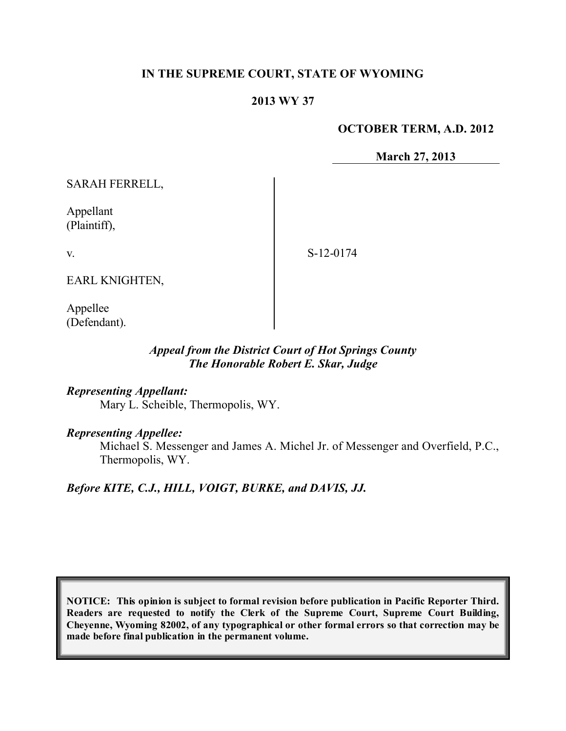## **IN THE SUPREME COURT, STATE OF WYOMING**

### **2013 WY 37**

#### **OCTOBER TERM, A.D. 2012**

**March 27, 2013**

SARAH FERRELL,

Appellant (Plaintiff),

v.

S-12-0174

EARL KNIGHTEN,

Appellee (Defendant).

## *Appeal from the District Court of Hot Springs County The Honorable Robert E. Skar, Judge*

#### *Representing Appellant:*

Mary L. Scheible, Thermopolis, WY.

#### *Representing Appellee:*

Michael S. Messenger and James A. Michel Jr. of Messenger and Overfield, P.C., Thermopolis, WY.

*Before KITE, C.J., HILL, VOIGT, BURKE, and DAVIS, JJ.*

**NOTICE: This opinion is subject to formal revision before publication in Pacific Reporter Third. Readers are requested to notify the Clerk of the Supreme Court, Supreme Court Building, Cheyenne, Wyoming 82002, of any typographical or other formal errors so that correction may be made before final publication in the permanent volume.**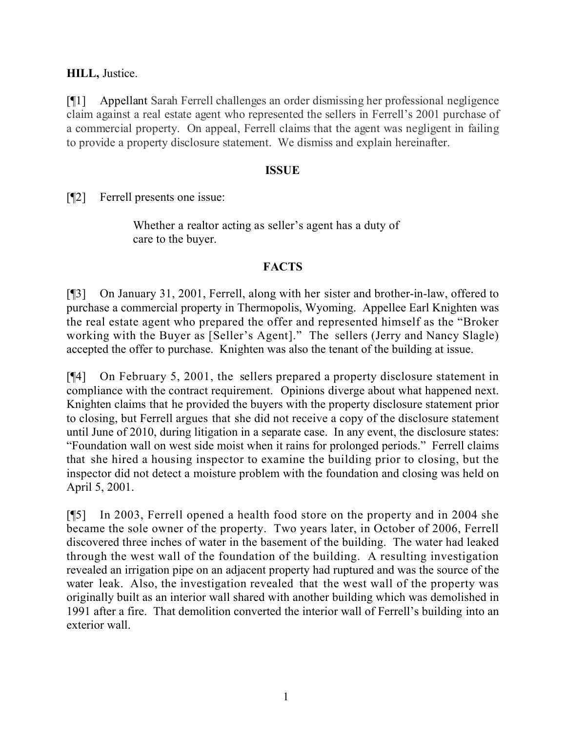## **HILL,** Justice.

[¶1] Appellant Sarah Ferrell challenges an order dismissing her professional negligence claim against a real estate agent who represented the sellers in Ferrell's 2001 purchase of a commercial property. On appeal, Ferrell claims that the agent was negligent in failing to provide a property disclosure statement. We dismiss and explain hereinafter.

### **ISSUE**

[¶2] Ferrell presents one issue:

Whether a realtor acting as seller's agent has a duty of care to the buyer.

## **FACTS**

[¶3] On January 31, 2001, Ferrell, along with her sister and brother-in-law, offered to purchase a commercial property in Thermopolis, Wyoming. Appellee Earl Knighten was the real estate agent who prepared the offer and represented himself as the "Broker working with the Buyer as [Seller's Agent]." The sellers (Jerry and Nancy Slagle) accepted the offer to purchase. Knighten was also the tenant of the building at issue.

[¶4] On February 5, 2001, the sellers prepared a property disclosure statement in compliance with the contract requirement. Opinions diverge about what happened next. Knighten claims that he provided the buyers with the property disclosure statement prior to closing, but Ferrell argues that she did not receive a copy of the disclosure statement until June of 2010, during litigation in a separate case. In any event, the disclosure states: "Foundation wall on west side moist when it rains for prolonged periods." Ferrell claims that she hired a housing inspector to examine the building prior to closing, but the inspector did not detect a moisture problem with the foundation and closing was held on April 5, 2001.

[¶5] In 2003, Ferrell opened a health food store on the property and in 2004 she became the sole owner of the property. Two years later, in October of 2006, Ferrell discovered three inches of water in the basement of the building. The water had leaked through the west wall of the foundation of the building. A resulting investigation revealed an irrigation pipe on an adjacent property had ruptured and was the source of the water leak. Also, the investigation revealed that the west wall of the property was originally built as an interior wall shared with another building which was demolished in 1991 after a fire. That demolition converted the interior wall of Ferrell's building into an exterior wall.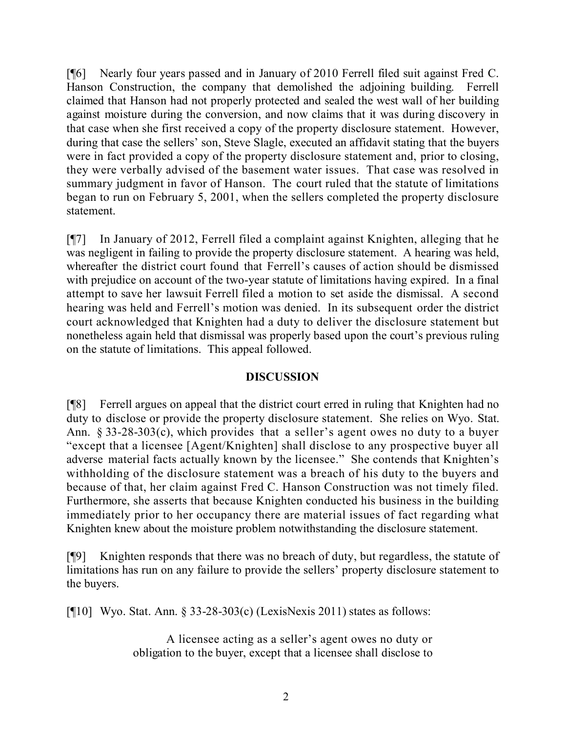[¶6] Nearly four years passed and in January of 2010 Ferrell filed suit against Fred C. Hanson Construction, the company that demolished the adjoining building. Ferrell claimed that Hanson had not properly protected and sealed the west wall of her building against moisture during the conversion, and now claims that it was during discovery in that case when she first received a copy of the property disclosure statement. However, during that case the sellers' son, Steve Slagle, executed an affidavit stating that the buyers were in fact provided a copy of the property disclosure statement and, prior to closing, they were verbally advised of the basement water issues. That case was resolved in summary judgment in favor of Hanson. The court ruled that the statute of limitations began to run on February 5, 2001, when the sellers completed the property disclosure statement.

[¶7] In January of 2012, Ferrell filed a complaint against Knighten, alleging that he was negligent in failing to provide the property disclosure statement. A hearing was held, whereafter the district court found that Ferrell's causes of action should be dismissed with prejudice on account of the two-year statute of limitations having expired. In a final attempt to save her lawsuit Ferrell filed a motion to set aside the dismissal. A second hearing was held and Ferrell's motion was denied. In its subsequent order the district court acknowledged that Knighten had a duty to deliver the disclosure statement but nonetheless again held that dismissal was properly based upon the court's previous ruling on the statute of limitations. This appeal followed.

# **DISCUSSION**

[¶8] Ferrell argues on appeal that the district court erred in ruling that Knighten had no duty to disclose or provide the property disclosure statement. She relies on Wyo. Stat. Ann. § 33-28-303(c), which provides that a seller's agent owes no duty to a buyer "except that a licensee [Agent/Knighten] shall disclose to any prospective buyer all adverse material facts actually known by the licensee." She contends that Knighten's withholding of the disclosure statement was a breach of his duty to the buyers and because of that, her claim against Fred C. Hanson Construction was not timely filed. Furthermore, she asserts that because Knighten conducted his business in the building immediately prior to her occupancy there are material issues of fact regarding what Knighten knew about the moisture problem notwithstanding the disclosure statement.

[¶9] Knighten responds that there was no breach of duty, but regardless, the statute of limitations has run on any failure to provide the sellers' property disclosure statement to the buyers.

[ $[10]$  Wyo. Stat. Ann. § 33-28-303(c) (LexisNexis 2011) states as follows:

A licensee acting as a seller's agent owes no duty or obligation to the buyer, except that a licensee shall disclose to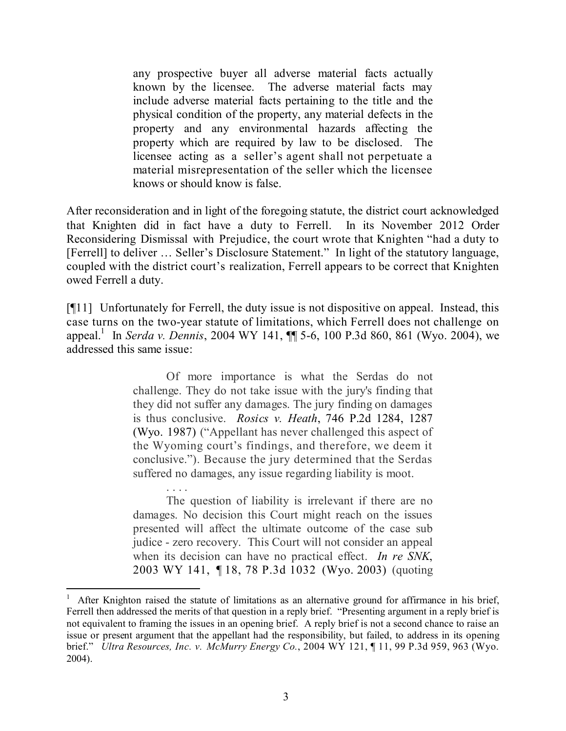any prospective buyer all adverse material facts actually known by the licensee. The adverse material facts may include adverse material facts pertaining to the title and the physical condition of the property, any material defects in the property and any environmental hazards affecting the property which are required by law to be disclosed. The licensee acting as a seller's agent shall not perpetuate a material misrepresentation of the seller which the licensee knows or should know is false.

After reconsideration and in light of the foregoing statute, the district court acknowledged that Knighten did in fact have a duty to Ferrell. In its November 2012 Order Reconsidering Dismissal with Prejudice, the court wrote that Knighten "had a duty to [Ferrell] to deliver … Seller's Disclosure Statement." In light of the statutory language, coupled with the district court's realization, Ferrell appears to be correct that Knighten owed Ferrell a duty.

[¶11] Unfortunately for Ferrell, the duty issue is not dispositive on appeal. Instead, this case turns on the two-year statute of limitations, which Ferrell does not challenge on appeal.<sup>1</sup> In *Serda v. Dennis*, 2004 WY 141, ¶¶ 5-6, 100 P.3d 860, 861 (Wyo. 2004), we addressed this same issue:

> Of more importance is what the Serdas do not challenge. They do not take issue with the jury's finding that they did not suffer any damages. The jury finding on damages is thus conclusive. *Rosics v. Heath*, 746 P.2d 1284, 1287 (Wyo. 1987) ("Appellant has never challenged this aspect of the Wyoming court's findings, and therefore, we deem it conclusive."). Because the jury determined that the Serdas suffered no damages, any issue regarding liability is moot.

> The question of liability is irrelevant if there are no damages. No decision this Court might reach on the issues presented will affect the ultimate outcome of the case sub judice - zero recovery. This Court will not consider an appeal when its decision can have no practical effect. *In re SNK*, 2003 WY 141, ¶ 18, 78 P.3d 1032 (Wyo. 2003) (quoting

After Knighton raised the statute of limitations as an alternative ground for affirmance in his brief, Ferrell then addressed the merits of that question in a reply brief. "Presenting argument in a reply brief is not equivalent to framing the issues in an opening brief. A reply brief is not a second chance to raise an issue or present argument that the appellant had the responsibility, but failed, to address in its opening brief." *Ultra Resources, Inc. v. McMurry Energy Co.*, 2004 WY 121, ¶ 11, 99 P.3d 959, 963 (Wyo. 2004).